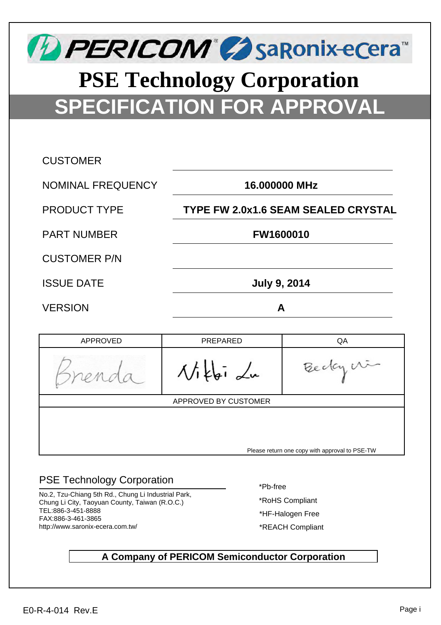

# **SPECIFICATION FOR APPROVAL PSE Technology Corporation**

| <b>CUSTOMER</b>     |                                            |
|---------------------|--------------------------------------------|
| NOMINAL FREQUENCY   | 16.000000 MHz                              |
| <b>PRODUCT TYPE</b> | <b>TYPE FW 2.0x1.6 SEAM SEALED CRYSTAL</b> |
| <b>PART NUMBER</b>  | <b>FW1600010</b>                           |
| <b>CUSTOMER P/N</b> |                                            |
| <b>ISSUE DATE</b>   | <b>July 9, 2014</b>                        |
| <b>VERSION</b>      | А                                          |

| APPROVED                                       | PREPARED   | QA        |  |  |  |  |
|------------------------------------------------|------------|-----------|--|--|--|--|
|                                                | $\Delta t$ | Bedaycrin |  |  |  |  |
| APPROVED BY CUSTOMER                           |            |           |  |  |  |  |
| Please return one copy with approval to PSE-TW |            |           |  |  |  |  |

### PSE Technology Corporation

No.2, Tzu-Chiang 5th Rd., Chung Li Industrial Park, Chung Li City, Taoyuan County, Taiwan (R.O.C.) TEL:886-3-451-8888 FAX:886-3-461-3865 http://www.saronix-ecera.com.tw/

\*Pb-free

\*RoHS Compliant

- \*HF-Halogen Free
- \*REACH Compliant

#### **A Company of PERICOM Semiconductor Corporation**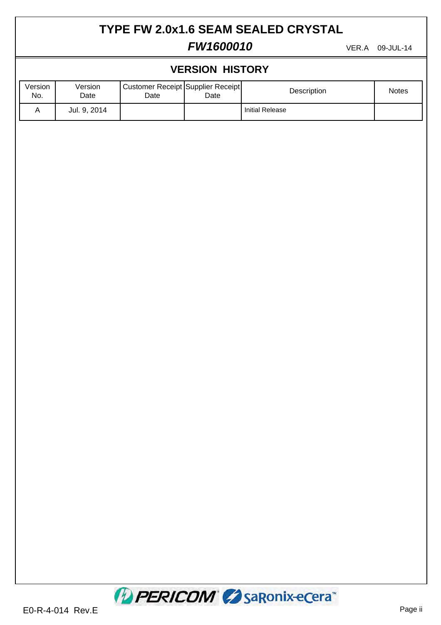### **TYPE FW 2.0x1.6 SEAM SEALED CRYSTAL**

### **FW1600010** VER.A 09-JUL-14

| <b>VERSION HISTORY</b> |                 |                                           |      |                        |       |  |  |
|------------------------|-----------------|-------------------------------------------|------|------------------------|-------|--|--|
| Version<br>No.         | Version<br>Date | Customer Receipt Supplier Receipt<br>Date | Date | Description            | Notes |  |  |
| $\mathsf A$            | Jul. 9, 2014    |                                           |      | <b>Initial Release</b> |       |  |  |
|                        |                 |                                           |      |                        |       |  |  |
|                        |                 |                                           |      |                        |       |  |  |
|                        |                 |                                           |      |                        |       |  |  |
|                        |                 |                                           |      |                        |       |  |  |
|                        |                 |                                           |      |                        |       |  |  |
|                        |                 |                                           |      |                        |       |  |  |
|                        |                 |                                           |      |                        |       |  |  |
|                        |                 |                                           |      |                        |       |  |  |
|                        |                 |                                           |      |                        |       |  |  |
|                        |                 |                                           |      |                        |       |  |  |
|                        |                 |                                           |      |                        |       |  |  |
|                        |                 |                                           |      |                        |       |  |  |
|                        |                 |                                           |      |                        |       |  |  |
|                        |                 |                                           |      |                        |       |  |  |
|                        |                 |                                           |      |                        |       |  |  |
|                        |                 |                                           |      |                        |       |  |  |
|                        |                 |                                           |      |                        |       |  |  |
|                        |                 |                                           |      |                        |       |  |  |
|                        |                 |                                           |      |                        |       |  |  |
|                        |                 |                                           |      |                        |       |  |  |
|                        |                 |                                           |      |                        |       |  |  |

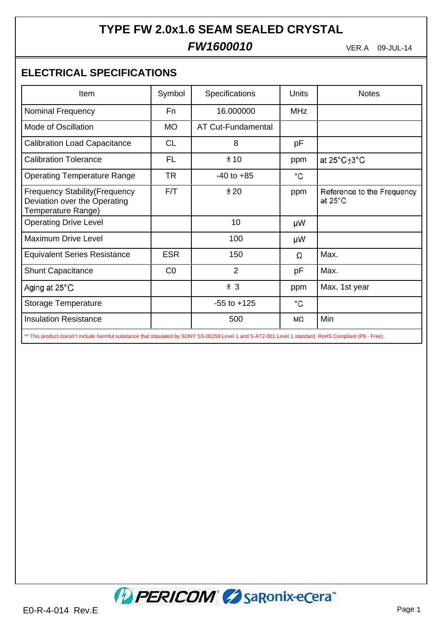### **TYPE FW 2.0x1.6 SEAM SEALED CRYSTAL**

### $FW1600010$

VER.A 09-JUL-14

### **ELECTRICAL SPECIFICATIONS**

| Item                                                                                        | Symbol     | Specifications     | Units        | <b>Notes</b>                                    |
|---------------------------------------------------------------------------------------------|------------|--------------------|--------------|-------------------------------------------------|
| <b>Nominal Frequency</b>                                                                    | Fn         | 16.000000          | <b>MHz</b>   |                                                 |
| Mode of Oscillation                                                                         | <b>MO</b>  | AT Cut-Fundamental |              |                                                 |
| <b>Calibration Load Capacitance</b>                                                         | <b>CL</b>  | 8                  | рF           |                                                 |
| <b>Calibration Tolerance</b>                                                                | <b>FL</b>  | ±10                | ppm          | at 25 $^{\circ}$ C $\pm$ 3 $^{\circ}$ C         |
| <b>Operating Temperature Range</b>                                                          | <b>TR</b>  | $-40$ to $+85$     | $^{\circ}$ C |                                                 |
| <b>Frequency Stability (Frequency</b><br>Deviation over the Operating<br>Temperature Range) | F/T        | ±20                | ppm          | Reference to the Frequency<br>at $25^{\circ}$ C |
| <b>Operating Drive Level</b>                                                                |            | 10                 | μW           |                                                 |
| <b>Maximum Drive Level</b>                                                                  |            | 100                | μW           |                                                 |
| <b>Equivalent Series Resistance</b>                                                         | <b>ESR</b> | 150                | Ω            | Max.                                            |
| <b>Shunt Capacitance</b>                                                                    | CO         | 2                  | pF           | Max.                                            |
| Aging at 25°C                                                                               |            | ± 3                | ppm          | Max, 1st year                                   |
| <b>Storage Temperature</b>                                                                  |            | $-55$ to $+125$    | °C           |                                                 |
| <b>Insulation Resistance</b>                                                                |            | 500                | MΩ           | Min                                             |

\*\* This product doesn"t include harmful substance that stipulated by SONY SS-00259 Level 1 and S-AT2-001 Level 1 standard. RoHS Compliant (Pb - Free).

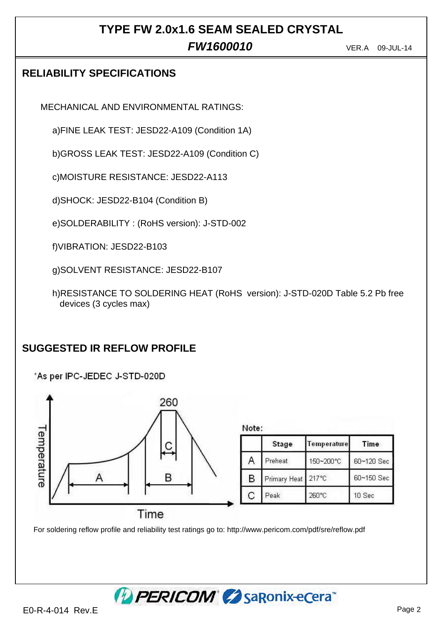## **TYPE FW 2.0x1.6 SEAM SEALED CRYSTAL**

### $FW1600010$

VER.A 09-JUL-14

### **RELIABILITY SPECIFICATIONS**

MECHANICAL AND ENVIRONMENTAL RATINGS:

a)FINE LEAK TEST: JESD22-A109 (Condition 1A)

b)GROSS LEAK TEST: JESD22-A109 (Condition C)

c)MOISTURE RESISTANCE: JESD22-A113

d)SHOCK: JESD22-B104 (Condition B)

e)SOLDERABILITY : (RoHS version): J-STD-002

f)VIBRATION: JESD22-B103

g)SOLVENT RESISTANCE: JESD22-B107

h)RESISTANCE TO SOLDERING HEAT (RoHS version): J-STD-020D Table 5.2 Pb free devices (3 cycles max)

### **SUGGESTED IR REFLOW PROFILE**

\*As per IPC-JEDEC J-STD-020D



For soldering reflow profile and reliability test ratings go to: http://www.pericom.com/pdf/sre/reflow.pdf

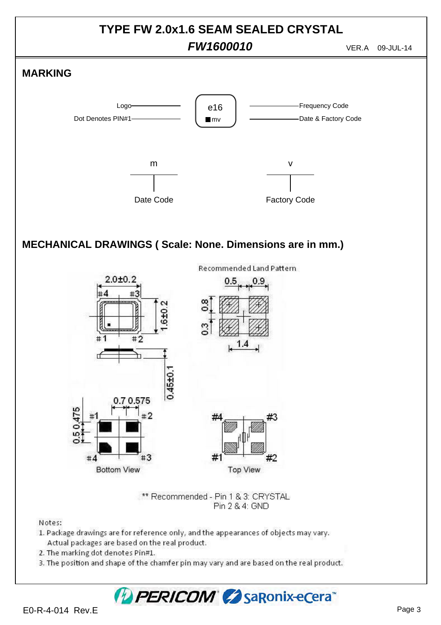

## PERICOM CosaRonix-ecera<sup>®</sup>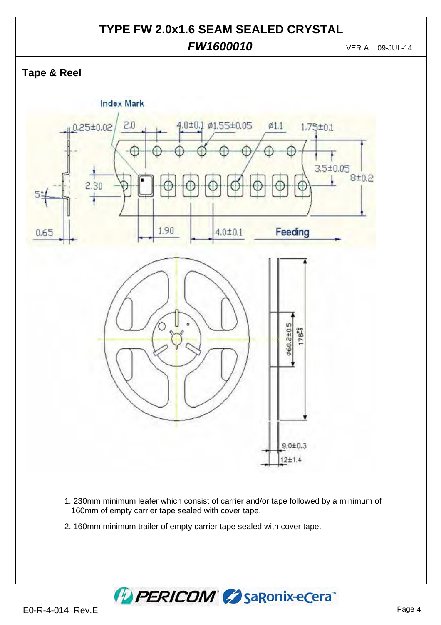#### **TYPE FW 2.0x1.6 SEAM SEALED CRYSTAL**  $FW1600010$ VER.A 09-JUL-14

**Tape & Reel**